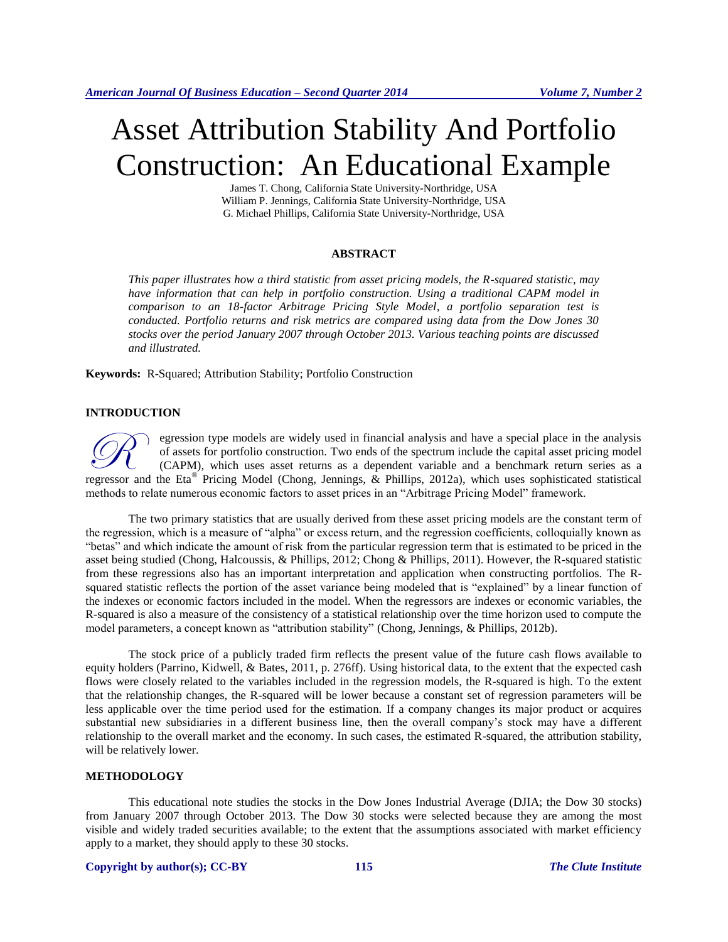# Asset Attribution Stability And Portfolio Construction: An Educational Example

James T. Chong, California State University-Northridge, USA William P. Jennings, California State University-Northridge, USA G. Michael Phillips, California State University-Northridge, USA

### **ABSTRACT**

*This paper illustrates how a third statistic from asset pricing models, the R-squared statistic, may have information that can help in portfolio construction. Using a traditional CAPM model in comparison to an 18-factor Arbitrage Pricing Style Model, a portfolio separation test is conducted. Portfolio returns and risk metrics are compared using data from the Dow Jones 30 stocks over the period January 2007 through October 2013. Various teaching points are discussed and illustrated.*

**Keywords:** R-Squared; Attribution Stability; Portfolio Construction

## **INTRODUCTION**

egression type models are widely used in financial analysis and have a special place in the analysis of assets for portfolio construction. Two ends of the spectrum include the capital asset pricing model (CAPM), which uses asset returns as a dependent variable and a benchmark return series as a **CON** egression type models are widely used in financial analysis and have a special place in the analysis of assets for portfolio construction. Two ends of the spectrum include the capital asset pricing model (CAPM), whic methods to relate numerous economic factors to asset prices in an "Arbitrage Pricing Model" framework.

The two primary statistics that are usually derived from these asset pricing models are the constant term of the regression, which is a measure of "alpha" or excess return, and the regression coefficients, colloquially known as "betas" and which indicate the amount of risk from the particular regression term that is estimated to be priced in the asset being studied (Chong, Halcoussis, & Phillips, 2012; Chong & Phillips, 2011). However, the R-squared statistic from these regressions also has an important interpretation and application when constructing portfolios. The Rsquared statistic reflects the portion of the asset variance being modeled that is "explained" by a linear function of the indexes or economic factors included in the model. When the regressors are indexes or economic variables, the R-squared is also a measure of the consistency of a statistical relationship over the time horizon used to compute the model parameters, a concept known as "attribution stability" (Chong, Jennings, & Phillips, 2012b).

The stock price of a publicly traded firm reflects the present value of the future cash flows available to equity holders (Parrino, Kidwell, & Bates, 2011, p. 276ff). Using historical data, to the extent that the expected cash flows were closely related to the variables included in the regression models, the R-squared is high. To the extent that the relationship changes, the R-squared will be lower because a constant set of regression parameters will be less applicable over the time period used for the estimation. If a company changes its major product or acquires substantial new subsidiaries in a different business line, then the overall company's stock may have a different relationship to the overall market and the economy. In such cases, the estimated R-squared, the attribution stability, will be relatively lower.

### **METHODOLOGY**

This educational note studies the stocks in the Dow Jones Industrial Average (DJIA; the Dow 30 stocks) from January 2007 through October 2013. The Dow 30 stocks were selected because they are among the most visible and widely traded securities available; to the extent that the assumptions associated with market efficiency apply to a market, they should apply to these 30 stocks.

### **Copyright by author(s)[; CC-BY](http://creativecommons.org/licenses/by/3.0/) 115** *[The Clute Institute](http://www.cluteinstitute.com/)*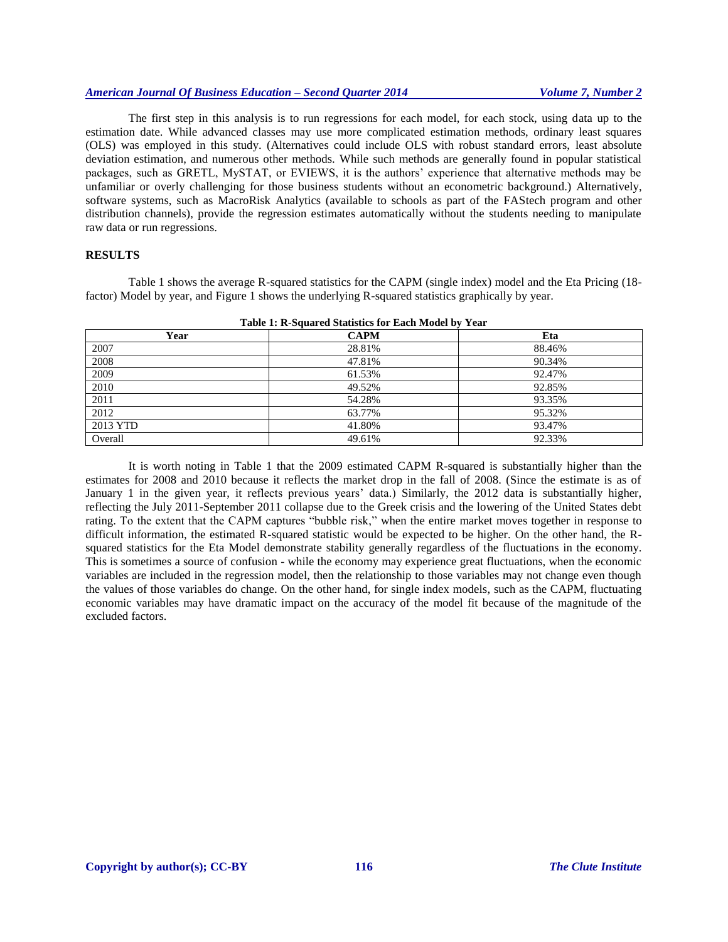# *American Journal Of Business Education – Second Quarter 2014 Volume 7, Number 2*

The first step in this analysis is to run regressions for each model, for each stock, using data up to the estimation date. While advanced classes may use more complicated estimation methods, ordinary least squares (OLS) was employed in this study. (Alternatives could include OLS with robust standard errors, least absolute deviation estimation, and numerous other methods. While such methods are generally found in popular statistical packages, such as GRETL, MySTAT, or EVIEWS, it is the authors' experience that alternative methods may be unfamiliar or overly challenging for those business students without an econometric background.) Alternatively, software systems, such as MacroRisk Analytics (available to schools as part of the FAStech program and other distribution channels), provide the regression estimates automatically without the students needing to manipulate raw data or run regressions.

## **RESULTS**

Table 1 shows the average R-squared statistics for the CAPM (single index) model and the Eta Pricing (18 factor) Model by year, and Figure 1 shows the underlying R-squared statistics graphically by year.

| Year     | <b>CAPM</b> | Eta    |
|----------|-------------|--------|
| 2007     | 28.81%      | 88.46% |
| 2008     | 47.81%      | 90.34% |
| 2009     | 61.53%      | 92.47% |
| 2010     | 49.52%      | 92.85% |
| 2011     | 54.28%      | 93.35% |
| 2012     | 63.77%      | 95.32% |
| 2013 YTD | 41.80%      | 93.47% |
| Overall  | 49.61%      | 92.33% |

**Table 1: R-Squared Statistics for Each Model by Year**

It is worth noting in Table 1 that the 2009 estimated CAPM R-squared is substantially higher than the estimates for 2008 and 2010 because it reflects the market drop in the fall of 2008. (Since the estimate is as of January 1 in the given year, it reflects previous years' data.) Similarly, the 2012 data is substantially higher, reflecting the July 2011-September 2011 collapse due to the Greek crisis and the lowering of the United States debt rating. To the extent that the CAPM captures "bubble risk," when the entire market moves together in response to difficult information, the estimated R-squared statistic would be expected to be higher. On the other hand, the Rsquared statistics for the Eta Model demonstrate stability generally regardless of the fluctuations in the economy. This is sometimes a source of confusion - while the economy may experience great fluctuations, when the economic variables are included in the regression model, then the relationship to those variables may not change even though the values of those variables do change. On the other hand, for single index models, such as the CAPM, fluctuating economic variables may have dramatic impact on the accuracy of the model fit because of the magnitude of the excluded factors.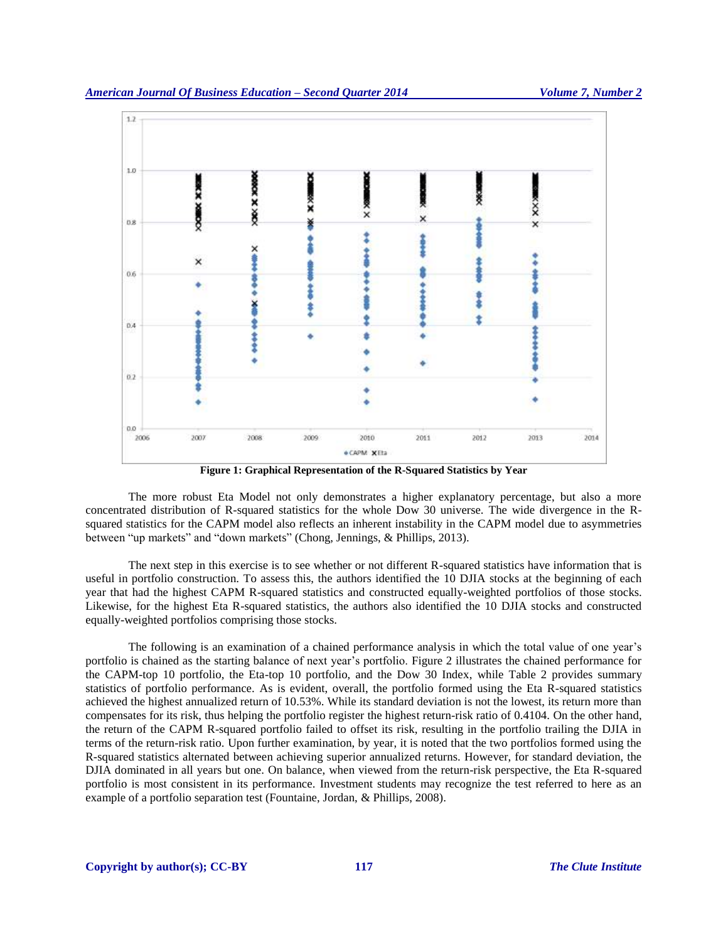

**Figure 1: Graphical Representation of the R-Squared Statistics by Year**

The more robust Eta Model not only demonstrates a higher explanatory percentage, but also a more concentrated distribution of R-squared statistics for the whole Dow 30 universe. The wide divergence in the Rsquared statistics for the CAPM model also reflects an inherent instability in the CAPM model due to asymmetries between "up markets" and "down markets" (Chong, Jennings, & Phillips, 2013).

The next step in this exercise is to see whether or not different R-squared statistics have information that is useful in portfolio construction. To assess this, the authors identified the 10 DJIA stocks at the beginning of each year that had the highest CAPM R-squared statistics and constructed equally-weighted portfolios of those stocks. Likewise, for the highest Eta R-squared statistics, the authors also identified the 10 DJIA stocks and constructed equally-weighted portfolios comprising those stocks.

The following is an examination of a chained performance analysis in which the total value of one year's portfolio is chained as the starting balance of next year's portfolio. Figure 2 illustrates the chained performance for the CAPM-top 10 portfolio, the Eta-top 10 portfolio, and the Dow 30 Index, while Table 2 provides summary statistics of portfolio performance. As is evident, overall, the portfolio formed using the Eta R-squared statistics achieved the highest annualized return of 10.53%. While its standard deviation is not the lowest, its return more than compensates for its risk, thus helping the portfolio register the highest return-risk ratio of 0.4104. On the other hand, the return of the CAPM R-squared portfolio failed to offset its risk, resulting in the portfolio trailing the DJIA in terms of the return-risk ratio. Upon further examination, by year, it is noted that the two portfolios formed using the R-squared statistics alternated between achieving superior annualized returns. However, for standard deviation, the DJIA dominated in all years but one. On balance, when viewed from the return-risk perspective, the Eta R-squared portfolio is most consistent in its performance. Investment students may recognize the test referred to here as an example of a portfolio separation test (Fountaine, Jordan, & Phillips, 2008).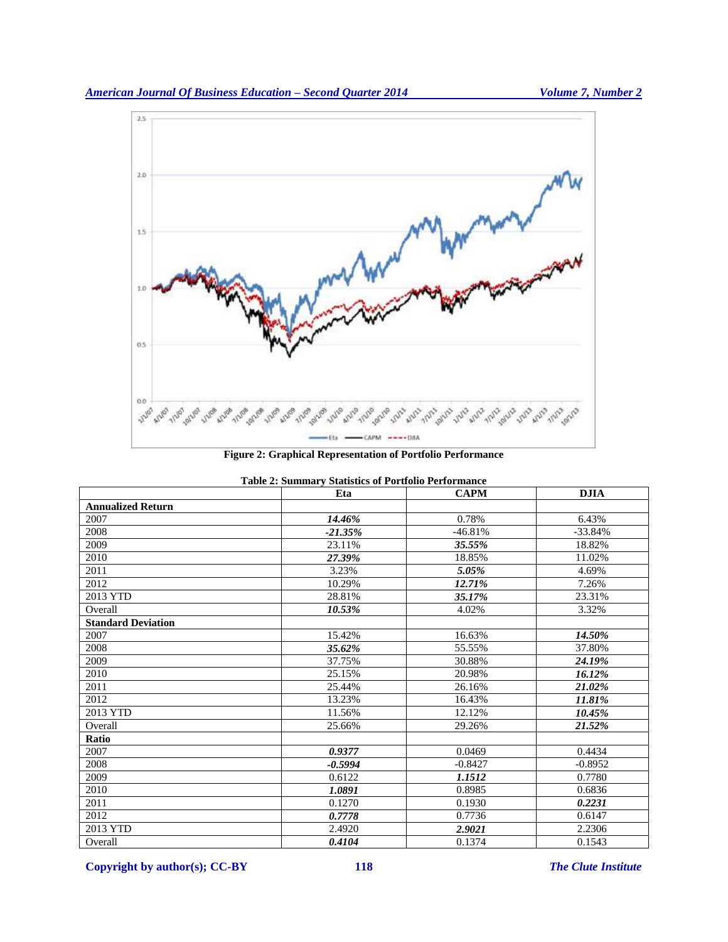

**Figure 2: Graphical Representation of Portfolio Performance**

| <b>Table 2: Summary Statistics of Portfolio Performance</b> |           |             |             |  |
|-------------------------------------------------------------|-----------|-------------|-------------|--|
|                                                             | Eta       | <b>CAPM</b> | <b>DJIA</b> |  |
| <b>Annualized Return</b>                                    |           |             |             |  |
| 2007                                                        | 14.46%    | 0.78%       | 6.43%       |  |
| 2008                                                        | $-21.35%$ | $-46.81%$   | $-33.84%$   |  |
| 2009                                                        | 23.11%    | 35.55%      | 18.82%      |  |
| 2010                                                        | 27.39%    | 18.85%      | 11.02%      |  |
| 2011                                                        | 3.23%     | 5.05%       | 4.69%       |  |
| 2012                                                        | 10.29%    | 12.71%      | 7.26%       |  |
| 2013 YTD                                                    | 28.81%    | 35.17%      | 23.31%      |  |
| Overall                                                     | 10.53%    | 4.02%       | 3.32%       |  |
| <b>Standard Deviation</b>                                   |           |             |             |  |
| 2007                                                        | 15.42%    | 16.63%      | 14.50%      |  |
| 2008                                                        | 35.62%    | 55.55%      | 37.80%      |  |
| 2009                                                        | 37.75%    | 30.88%      | 24.19%      |  |
| 2010                                                        | 25.15%    | 20.98%      | 16.12%      |  |
| 2011                                                        | 25.44%    | 26.16%      | 21.02%      |  |
| 2012                                                        | 13.23%    | 16.43%      | 11.81%      |  |
| 2013 YTD                                                    | 11.56%    | 12.12%      | 10.45%      |  |
| Overall                                                     | 25.66%    | 29.26%      | 21.52%      |  |
| Ratio                                                       |           |             |             |  |
| 2007                                                        | 0.9377    | 0.0469      | 0.4434      |  |
| 2008                                                        | $-0.5994$ | $-0.8427$   | $-0.8952$   |  |
| 2009                                                        | 0.6122    | 1.1512      | 0.7780      |  |
| 2010                                                        | 1.0891    | 0.8985      | 0.6836      |  |
| 2011                                                        | 0.1270    | 0.1930      | 0.2231      |  |
| 2012                                                        | 0.7778    | 0.7736      | 0.6147      |  |
| 2013 YTD                                                    | 2.4920    | 2.9021      | 2.2306      |  |
| Overall                                                     | 0.4104    | 0.1374      | 0.1543      |  |

**Copyright by author(s)[; CC-BY](http://creativecommons.org/licenses/by/3.0/) 118** *[The Clute Institute](http://www.cluteinstitute.com/)*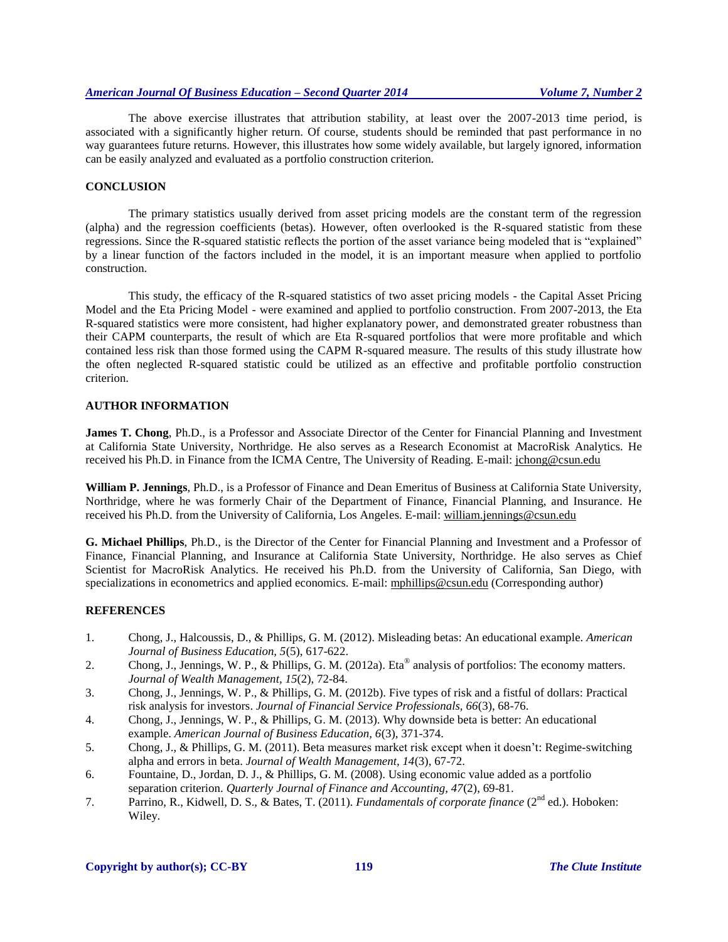The above exercise illustrates that attribution stability, at least over the 2007-2013 time period, is associated with a significantly higher return. Of course, students should be reminded that past performance in no way guarantees future returns. However, this illustrates how some widely available, but largely ignored, information can be easily analyzed and evaluated as a portfolio construction criterion.

# **CONCLUSION**

The primary statistics usually derived from asset pricing models are the constant term of the regression (alpha) and the regression coefficients (betas). However, often overlooked is the R-squared statistic from these regressions. Since the R-squared statistic reflects the portion of the asset variance being modeled that is "explained" by a linear function of the factors included in the model, it is an important measure when applied to portfolio construction.

This study, the efficacy of the R-squared statistics of two asset pricing models - the Capital Asset Pricing Model and the Eta Pricing Model - were examined and applied to portfolio construction. From 2007-2013, the Eta R-squared statistics were more consistent, had higher explanatory power, and demonstrated greater robustness than their CAPM counterparts, the result of which are Eta R-squared portfolios that were more profitable and which contained less risk than those formed using the CAPM R-squared measure. The results of this study illustrate how the often neglected R-squared statistic could be utilized as an effective and profitable portfolio construction criterion.

## **AUTHOR INFORMATION**

**James T. Chong**, Ph.D., is a Professor and Associate Director of the Center for Financial Planning and Investment at California State University, Northridge. He also serves as a Research Economist at MacroRisk Analytics. He received his Ph.D. in Finance from the ICMA Centre, The University of Reading. E-mail: jchong@csun.edu

**William P. Jennings**, Ph.D., is a Professor of Finance and Dean Emeritus of Business at California State University, Northridge, where he was formerly Chair of the Department of Finance, Financial Planning, and Insurance. He received his Ph.D. from the University of California, Los Angeles. E-mail: william.jennings@csun.edu

**G. Michael Phillips**, Ph.D., is the Director of the Center for Financial Planning and Investment and a Professor of Finance, Financial Planning, and Insurance at California State University, Northridge. He also serves as Chief Scientist for MacroRisk Analytics. He received his Ph.D. from the University of California, San Diego, with specializations in econometrics and applied economics. E-mail: mphillips@csun.edu (Corresponding author)

## **REFERENCES**

- 1. Chong, J., Halcoussis, D., & Phillips, G. M. (2012). Misleading betas: An educational example. *American Journal of Business Education, 5*(5), 617-622.
- 2. Chong, J., Jennings, W. P., & Phillips, G. M. (2012a). Eta® analysis of portfolios: The economy matters. *Journal of Wealth Management, 15*(2), 72-84.
- 3. Chong, J., Jennings, W. P., & Phillips, G. M. (2012b). Five types of risk and a fistful of dollars: Practical risk analysis for investors. *Journal of Financial Service Professionals, 66*(3), 68-76.
- 4. Chong, J., Jennings, W. P., & Phillips, G. M. (2013). Why downside beta is better: An educational example. *American Journal of Business Education, 6*(3), 371-374.
- 5. Chong, J., & Phillips, G. M. (2011). Beta measures market risk except when it doesn't: Regime-switching alpha and errors in beta. *Journal of Wealth Management, 14*(3), 67-72.
- 6. Fountaine, D., Jordan, D. J., & Phillips, G. M. (2008). Using economic value added as a portfolio separation criterion. *Quarterly Journal of Finance and Accounting, 47*(2), 69-81.
- 7. Parrino, R., Kidwell, D. S., & Bates, T. (2011). *Fundamentals of corporate finance* (2<sup>nd</sup> ed.). Hoboken: Wiley.